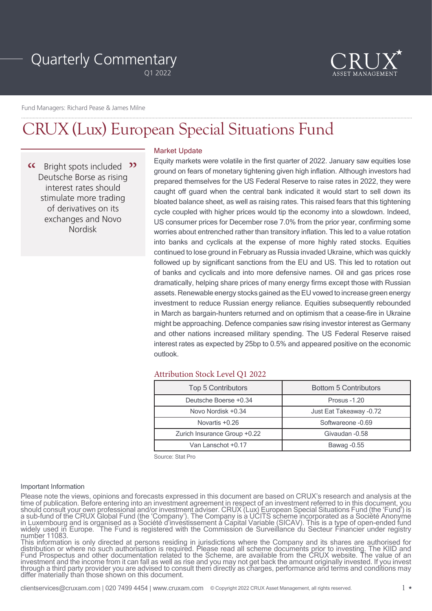# Quarterly Commentary

Q1 2022



Fund Managers: Richard Pease & James Milne

## CRUX (Lux) European Special Situations Fund

 $\alpha$ Bright spots included <sup>22</sup> Deutsche Borse as rising interest rates should stimulate more trading of derivatives on its exchanges and Novo Nordisk

## Market Update

Equity markets were volatile in the first quarter of 2022. January saw equities lose ground on fears of monetary tightening given high inflation. Although investors had prepared themselves for the US Federal Reserve to raise rates in 2022, they were caught off guard when the central bank indicated it would start to sell down its bloated balance sheet, as well as raising rates. This raised fears that this tightening cycle coupled with higher prices would tip the economy into a slowdown. Indeed, US consumer prices for December rose 7.0% from the prior year, confirming some worries about entrenched rather than transitory inflation. This led to a value rotation into banks and cyclicals at the expense of more highly rated stocks. Equities continued to lose ground in February as Russia invaded Ukraine, which was quickly followed up by significant sanctions from the EU and US. This led to rotation out of banks and cyclicals and into more defensive names. Oil and gas prices rose dramatically, helping share prices of many energy firms except those with Russian assets. Renewable energy stocks gained as the EU vowed to increase green energy investment to reduce Russian energy reliance. Equities subsequently rebounded in March as bargain-hunters returned and on optimism that a cease-fire in Ukraine might be approaching. Defence companies saw rising investor interest as Germany and other nations increased military spending. The US Federal Reserve raised interest rates as expected by 25bp to 0.5% and appeared positive on the economic outlook.

## Attribution Stock Level Q1 2022

| <b>Top 5 Contributors</b>    | <b>Bottom 5 Contributors</b> |
|------------------------------|------------------------------|
| Deutsche Boerse +0.34        | Prosus -1.20                 |
| Novo Nordisk +0.34           | Just Eat Takeaway -0.72      |
| Novartis +0.26               | Softwareone -0.69            |
| Zurich Insurance Group +0.22 | Givaudan - 0.58              |
| Van Lanschot +0.17           | Bawag - 0.55                 |

Source: Stat Pro

#### Important Information

Please note the views, opinions and forecasts expressed in this document are based on CRUX's research and analysis at the time of publication. Before entering into an investment agreement in respect of an investment referred to in this document, you should consult your own professional and/or investment adviser. CRUX (Lux) European Special Situations Fund (the 'Fund') is a sub-fund of the CRUX Global Fund (the 'Company'). The Company is a UCITS scheme incorporated as a Société Anonyme in Luxembourg and is organised as a Société d'investissement à Capital Variable (SICAV). This is a type of open-ended fund widely used in Europe. The Fund is registered with the Commission de Surveillance du Secteur Financier under registry number 11083.

This information is only directed at persons residing in jurisdictions where the Company and its shares are authorised for distribution or where no such authorisation is required. Please read all scheme documents prior to investing. The KIID and Fund Prospectus and other documentation related to the Scheme, are available from the CRUX website. The value of an investment and the income from it can fall as well as rise and you may not get back the amount originally invested. If you invest through a third party provider you are advised to consult them directly as charges, performance and terms and conditions may differ materially than those shown on this document.